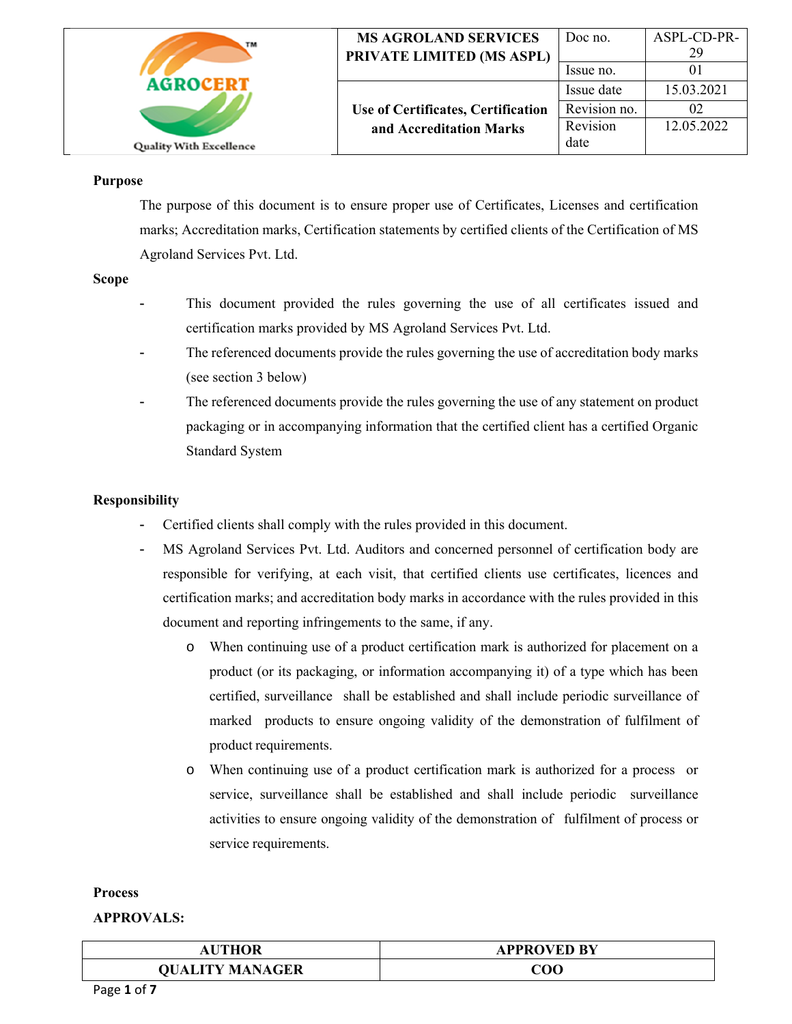| TM                             | <b>MS AGROLAND SERVICES</b><br>PRIVATE LIMITED (MS ASPL) | Doc no.<br>Issue no. | ASPL-CD-PR-<br>29 |
|--------------------------------|----------------------------------------------------------|----------------------|-------------------|
| <b>AGROCERT</b>                |                                                          | Issue date           | 15.03.2021        |
|                                | Use of Certificates, Certification                       | Revision no.         |                   |
|                                | and Accreditation Marks                                  | Revision             | 12.05.2022        |
| <b>Quality With Excellence</b> |                                                          | date                 |                   |

#### **Purpose**

 The purpose of this document is to ensure proper use of Certificates, Licenses and certification marks; Accreditation marks, Certification statements by certified clients of the Certification of MS Agroland Services Pvt. Ltd.

#### **Scope**

- This document provided the rules governing the use of all certificates issued and certification marks provided by MS Agroland Services Pvt. Ltd.
- The referenced documents provide the rules governing the use of accreditation body marks (see section 3 below)
- The referenced documents provide the rules governing the use of any statement on product packaging or in accompanying information that the certified client has a certified Organic Standard System

### **Responsibility**

- Certified clients shall comply with the rules provided in this document.
- MS Agroland Services Pvt. Ltd. Auditors and concerned personnel of certification body are responsible for verifying, at each visit, that certified clients use certificates, licences and certification marks; and accreditation body marks in accordance with the rules provided in this document and reporting infringements to the same, if any.
	- o When continuing use of a product certification mark is authorized for placement on a product (or its packaging, or information accompanying it) of a type which has been certified, surveillance shall be established and shall include periodic surveillance of marked products to ensure ongoing validity of the demonstration of fulfilment of product requirements.
	- o When continuing use of a product certification mark is authorized for a process or service, surveillance shall be established and shall include periodic surveillance activities to ensure ongoing validity of the demonstration of fulfilment of process or service requirements.

#### **Process**

| <b>JTHOR</b>           | <b>APPROVED BY</b> |
|------------------------|--------------------|
| <b>QUALITY MANAGER</b> | COO                |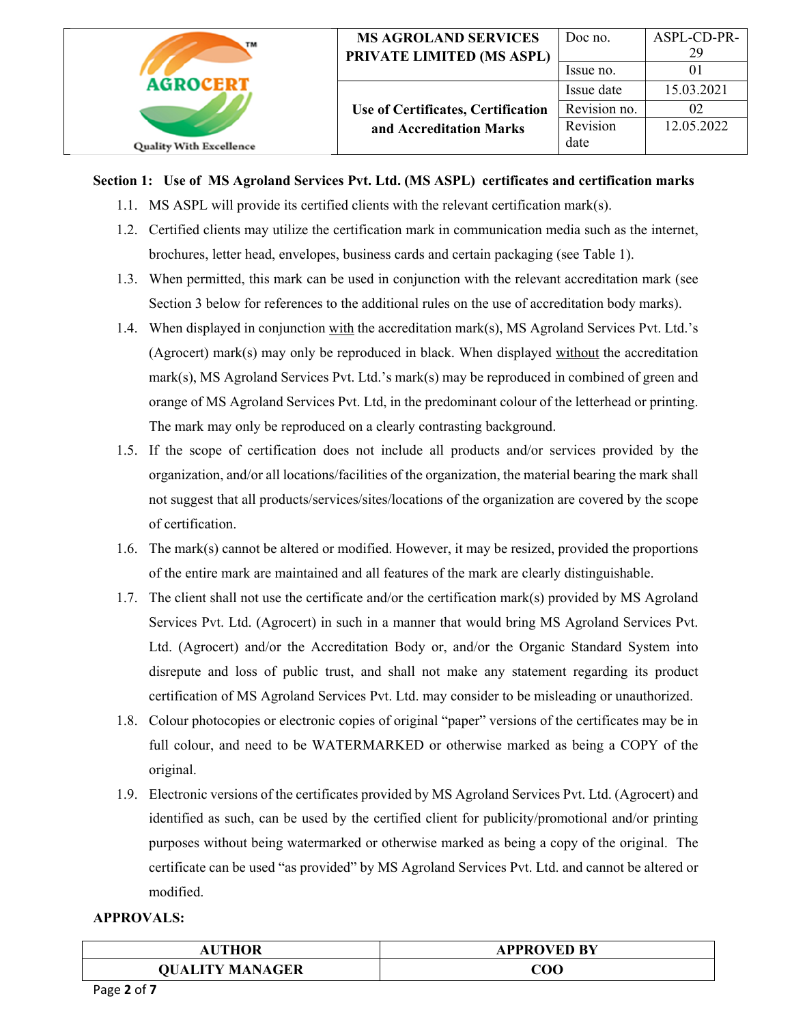| TM                             | <b>MS AGROLAND SERVICES</b><br>PRIVATE LIMITED (MS ASPL) | Doc no.      | ASPL-CD-PR-<br>29 |
|--------------------------------|----------------------------------------------------------|--------------|-------------------|
|                                |                                                          | Issue no.    |                   |
| <b>AGROCERT</b>                |                                                          | Issue date   | 15.03.2021        |
|                                | Use of Certificates, Certification                       | Revision no. | 02                |
|                                | and Accreditation Marks                                  | Revision     | 12.05.2022        |
| <b>Quality With Excellence</b> |                                                          | date         |                   |

## **Section 1: Use of MS Agroland Services Pvt. Ltd. (MS ASPL) certificates and certification marks**

- 1.1. MS ASPL will provide its certified clients with the relevant certification mark(s).
- 1.2. Certified clients may utilize the certification mark in communication media such as the internet, brochures, letter head, envelopes, business cards and certain packaging (see Table 1).
- 1.3. When permitted, this mark can be used in conjunction with the relevant accreditation mark (see Section 3 below for references to the additional rules on the use of accreditation body marks).
- 1.4. When displayed in conjunction with the accreditation mark(s), MS Agroland Services Pvt. Ltd.'s (Agrocert) mark(s) may only be reproduced in black. When displayed without the accreditation mark(s), MS Agroland Services Pvt. Ltd.'s mark(s) may be reproduced in combined of green and orange of MS Agroland Services Pvt. Ltd, in the predominant colour of the letterhead or printing. The mark may only be reproduced on a clearly contrasting background.
- 1.5. If the scope of certification does not include all products and/or services provided by the organization, and/or all locations/facilities of the organization, the material bearing the mark shall not suggest that all products/services/sites/locations of the organization are covered by the scope of certification.
- 1.6. The mark(s) cannot be altered or modified. However, it may be resized, provided the proportions of the entire mark are maintained and all features of the mark are clearly distinguishable.
- 1.7. The client shall not use the certificate and/or the certification mark(s) provided by MS Agroland Services Pvt. Ltd. (Agrocert) in such in a manner that would bring MS Agroland Services Pvt. Ltd. (Agrocert) and/or the Accreditation Body or, and/or the Organic Standard System into disrepute and loss of public trust, and shall not make any statement regarding its product certification of MS Agroland Services Pvt. Ltd. may consider to be misleading or unauthorized.
- 1.8. Colour photocopies or electronic copies of original "paper" versions of the certificates may be in full colour, and need to be WATERMARKED or otherwise marked as being a COPY of the original.
- 1.9. Electronic versions of the certificates provided by MS Agroland Services Pvt. Ltd. (Agrocert) and identified as such, can be used by the certified client for publicity/promotional and/or printing purposes without being watermarked or otherwise marked as being a copy of the original. The certificate can be used "as provided" by MS Agroland Services Pvt. Ltd. and cannot be altered or modified.

| <b>UTHOR</b><br>ΑU     | <b>APPROVED BY</b> |
|------------------------|--------------------|
| <b>QUALITY MANAGER</b> | COO                |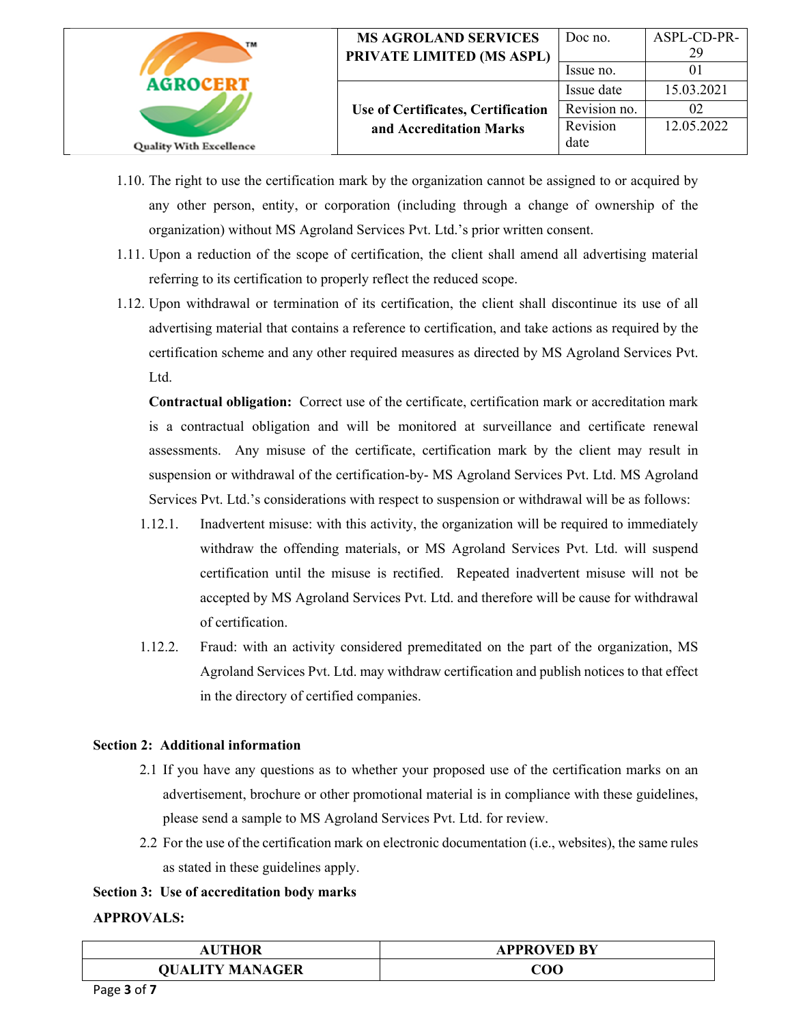| TМ                             | <b>MS AGROLAND SERVICES</b><br>PRIVATE LIMITED (MS ASPL) | Doc no.<br>Issue no.       | ASPL-CD-PR-<br>29 |
|--------------------------------|----------------------------------------------------------|----------------------------|-------------------|
| <b>AGROCERT</b>                | Use of Certificates, Certification                       | Issue date<br>Revision no. | 15.03.2021<br>02  |
| <b>Quality With Excellence</b> | and Accreditation Marks                                  | Revision<br>date           | 12.05.2022        |

- 1.10. The right to use the certification mark by the organization cannot be assigned to or acquired by any other person, entity, or corporation (including through a change of ownership of the organization) without MS Agroland Services Pvt. Ltd.'s prior written consent.
- 1.11. Upon a reduction of the scope of certification, the client shall amend all advertising material referring to its certification to properly reflect the reduced scope.
- 1.12. Upon withdrawal or termination of its certification, the client shall discontinue its use of all advertising material that contains a reference to certification, and take actions as required by the certification scheme and any other required measures as directed by MS Agroland Services Pvt. Ltd.

**Contractual obligation:** Correct use of the certificate, certification mark or accreditation mark is a contractual obligation and will be monitored at surveillance and certificate renewal assessments. Any misuse of the certificate, certification mark by the client may result in suspension or withdrawal of the certification-by- MS Agroland Services Pvt. Ltd. MS Agroland Services Pvt. Ltd.'s considerations with respect to suspension or withdrawal will be as follows:

- 1.12.1. Inadvertent misuse: with this activity, the organization will be required to immediately withdraw the offending materials, or MS Agroland Services Pvt. Ltd. will suspend certification until the misuse is rectified. Repeated inadvertent misuse will not be accepted by MS Agroland Services Pvt. Ltd. and therefore will be cause for withdrawal of certification.
- 1.12.2. Fraud: with an activity considered premeditated on the part of the organization, MS Agroland Services Pvt. Ltd. may withdraw certification and publish notices to that effect in the directory of certified companies.

### **Section 2: Additional information**

- 2.1 If you have any questions as to whether your proposed use of the certification marks on an advertisement, brochure or other promotional material is in compliance with these guidelines, please send a sample to MS Agroland Services Pvt. Ltd. for review.
- 2.2 For the use of the certification mark on electronic documentation (i.e., websites), the same rules as stated in these guidelines apply.

## **Section 3: Use of accreditation body marks**

| <b>THOR</b><br>ΑU      | <b>APPROVED BY</b> |
|------------------------|--------------------|
| <b>QUALITY MANAGER</b> | COO                |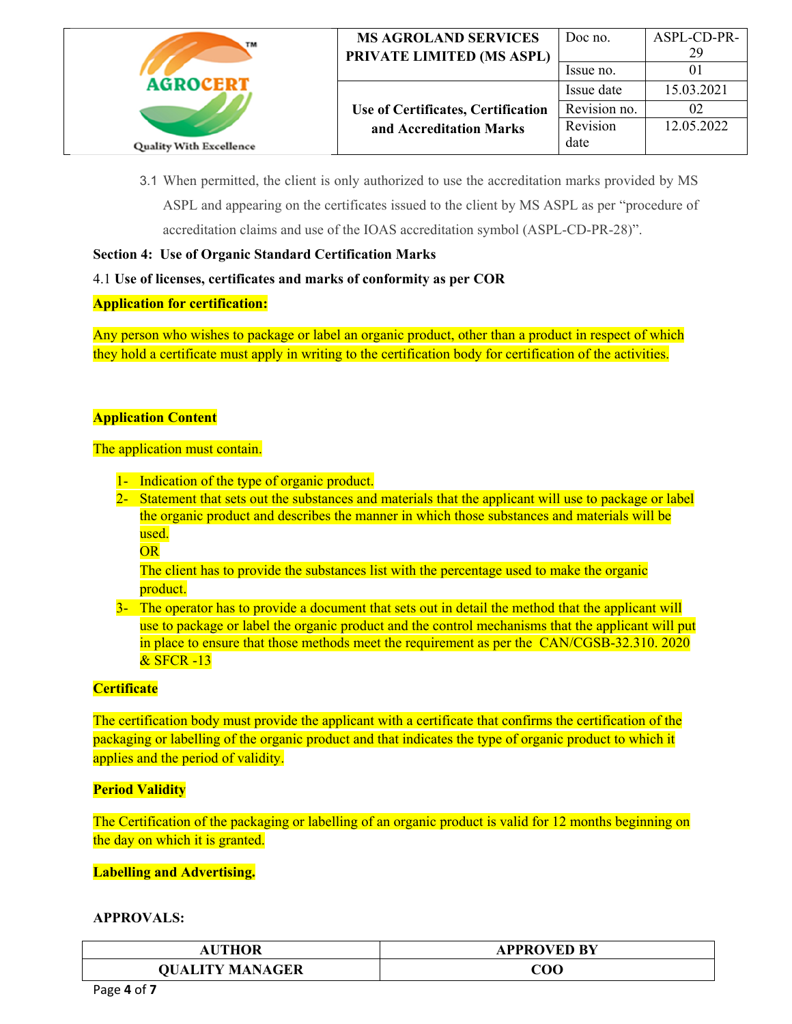| TM                             | <b>MS AGROLAND SERVICES</b><br>PRIVATE LIMITED (MS ASPL) | Doc no.<br>Issue no. | ASPL-CD-PR-<br>29 |
|--------------------------------|----------------------------------------------------------|----------------------|-------------------|
| <b>AGROCERT</b>                |                                                          | Issue date           | 15.03.2021        |
|                                | Use of Certificates, Certification                       | Revision no.         |                   |
|                                | and Accreditation Marks                                  | Revision             | 12.05.2022        |
| <b>Quality With Excellence</b> |                                                          | date                 |                   |

3.1 When permitted, the client is only authorized to use the accreditation marks provided by MS ASPL and appearing on the certificates issued to the client by MS ASPL as per "procedure of accreditation claims and use of the IOAS accreditation symbol (ASPL-CD-PR-28)".

## **Section 4: Use of Organic Standard Certification Marks**

### 4.1 **Use of licenses, certificates and marks of conformity as per COR**

### **Application for certification:**

Any person who wishes to package or label an organic product, other than a product in respect of which they hold a certificate must apply in writing to the certification body for certification of the activities.

### **Application Content**

### The application must contain.

- 1- Indication of the type of organic product.
- 2- Statement that sets out the substances and materials that the applicant will use to package or label the organic product and describes the manner in which those substances and materials will be used.
	- **OR**

The client has to provide the substances list with the percentage used to make the organic product.

3- The operator has to provide a document that sets out in detail the method that the applicant will use to package or label the organic product and the control mechanisms that the applicant will put in place to ensure that those methods meet the requirement as per the CAN/CGSB-32.310. 2020 & SFCR -13

## **Certificate**

The certification body must provide the applicant with a certificate that confirms the certification of the packaging or labelling of the organic product and that indicates the type of organic product to which it applies and the period of validity.

## **Period Validity**

The Certification of the packaging or labelling of an organic product is valid for 12 months beginning on the day on which it is granted.

### **Labelling and Advertising.**

| <b>AUTHOR</b>          | <b>APPROVED BY</b> |
|------------------------|--------------------|
| <b>QUALITY MANAGER</b> | $\rm COO$          |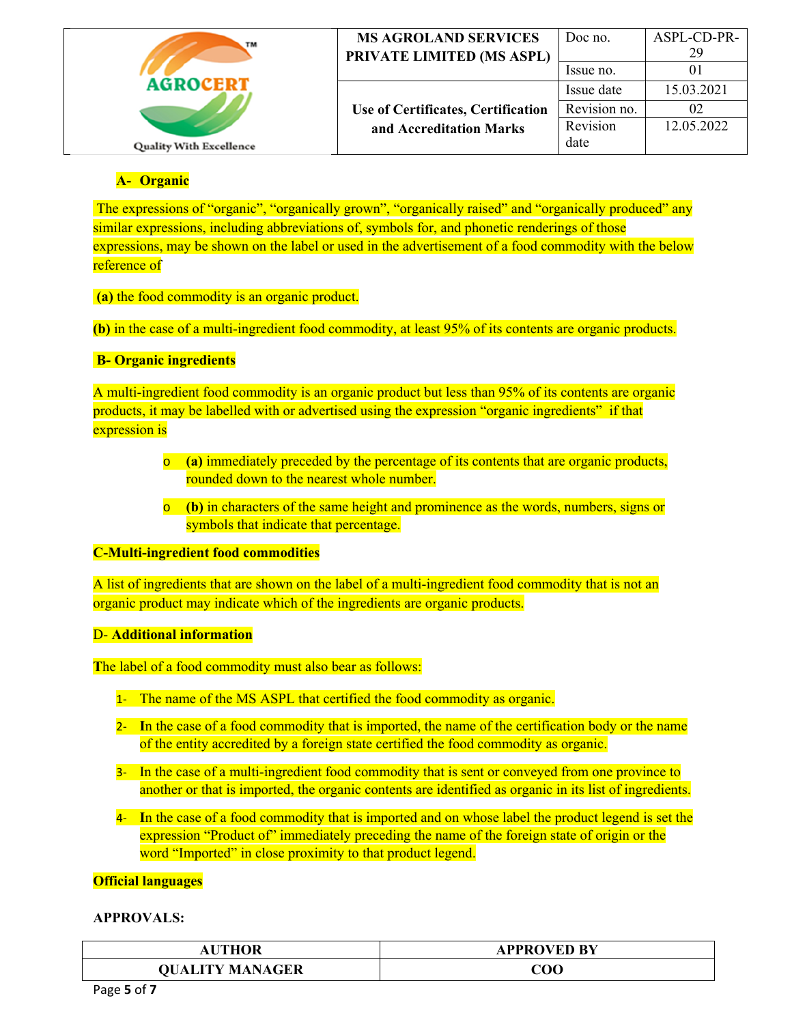| TM                             | <b>MS AGROLAND SERVICES</b><br>PRIVATE LIMITED (MS ASPL) | Doc no.<br>Issue no. | ASPL-CD-PR-<br>29 |
|--------------------------------|----------------------------------------------------------|----------------------|-------------------|
| <b>AGROCEPT</b>                |                                                          | Issue date           | 15.03.2021        |
|                                | Use of Certificates, Certification                       | Revision no.         |                   |
|                                | and Accreditation Marks                                  | Revision             | 12.05.2022        |
| <b>Quality With Excellence</b> |                                                          | date                 |                   |

# **A- Organic**

 The expressions of "organic", "organically grown", "organically raised" and "organically produced" any similar expressions, including abbreviations of, symbols for, and phonetic renderings of those expressions, may be shown on the label or used in the advertisement of a food commodity with the below reference of

 **(a)** the food commodity is an organic product.

**(b)** in the case of a multi-ingredient food commodity, at least 95% of its contents are organic products.

## **B- Organic ingredients**

A multi-ingredient food commodity is an organic product but less than 95% of its contents are organic products, it may be labelled with or advertised using the expression "organic ingredients" if that expression is

- o **(a)** immediately preceded by the percentage of its contents that are organic products, rounded down to the nearest whole number.
- o **(b)** in characters of the same height and prominence as the words, numbers, signs or symbols that indicate that percentage.

### **C-Multi-ingredient food commodities**

A list of ingredients that are shown on the label of a multi-ingredient food commodity that is not an organic product may indicate which of the ingredients are organic products.

## D- **Additional information**

**T**he label of a food commodity must also bear as follows:

- 1- The name of the MS ASPL that certified the food commodity as organic.
- 2‐ **I**n the case of a food commodity that is imported, the name of the certification body or the name of the entity accredited by a foreign state certified the food commodity as organic.
- 3‐ In the case of a multi-ingredient food commodity that is sent or conveyed from one province to another or that is imported, the organic contents are identified as organic in its list of ingredients.
- 4‐ **I**n the case of a food commodity that is imported and on whose label the product legend is set the expression "Product of" immediately preceding the name of the foreign state of origin or the word "Imported" in close proximity to that product legend.

# **Official languages**

| <b>JTHOR</b>           | <b>\PPROVED BY</b> |
|------------------------|--------------------|
| <b>QUALITY MANAGER</b> | ${\rm COO}$        |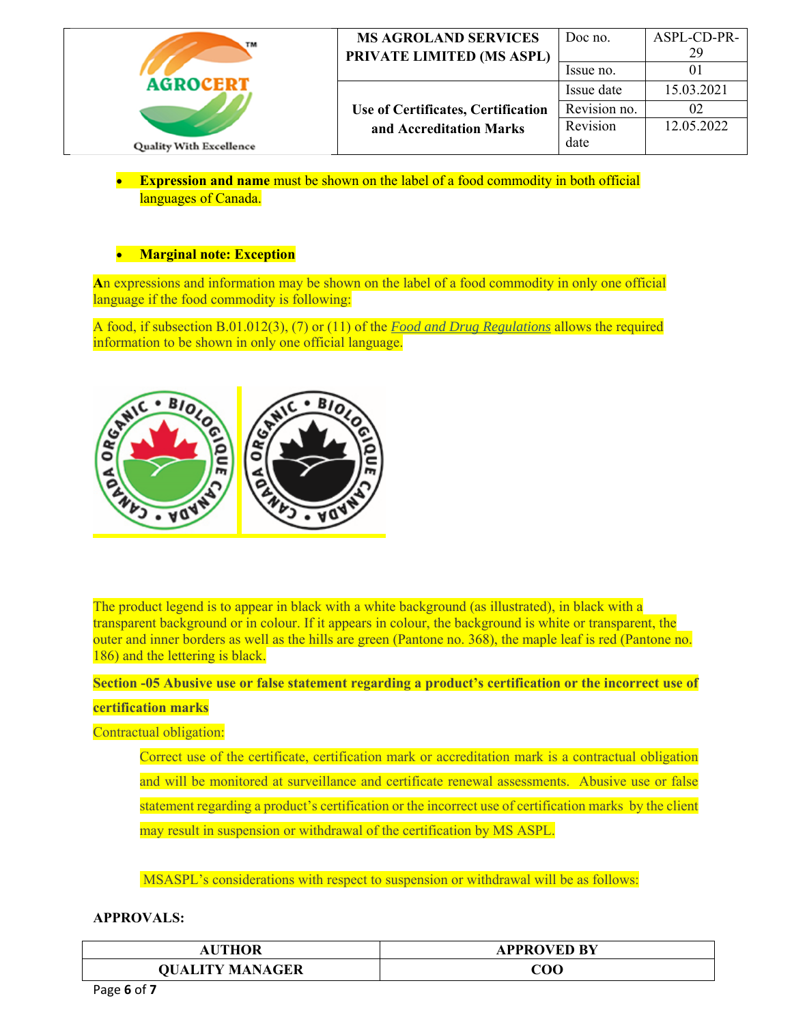| TM                             | <b>MS AGROLAND SERVICES</b><br>PRIVATE LIMITED (MS ASPL)      | Doc no.<br>Issue no.             | ASPL-CD-PR-<br>29 |
|--------------------------------|---------------------------------------------------------------|----------------------------------|-------------------|
| <b>AGROCERT</b>                |                                                               | Issue date                       | 15.03.2021        |
| <b>Quality With Excellence</b> | Use of Certificates, Certification<br>and Accreditation Marks | Revision no.<br>Revision<br>date | 02<br>12.05.2022  |

 **Expression and name** must be shown on the label of a food commodity in both official languages of Canada.

## **Marginal note: Exception**

**A**n expressions and information may be shown on the label of a food commodity in only one official language if the food commodity is following:

A food, if subsection B.01.012(3), (7) or (11) of the *Food and Drug Regulations* allows the required information to be shown in only one official language.



The product legend is to appear in black with a white background (as illustrated), in black with a transparent background or in colour. If it appears in colour, the background is white or transparent, the outer and inner borders as well as the hills are green (Pantone no. 368), the maple leaf is red (Pantone no. 186) and the lettering is black.

**Section -05 Abusive use or false statement regarding a product's certification or the incorrect use of** 

### **certification marks**

### Contractual obligation:

Correct use of the certificate, certification mark or accreditation mark is a contractual obligation and will be monitored at surveillance and certificate renewal assessments. Abusive use or false statement regarding a product's certification or the incorrect use of certification marks by the client may result in suspension or withdrawal of the certification by MS ASPL.

MSASPL's considerations with respect to suspension or withdrawal will be as follows:

| THOR<br>ΑU             | <b>APPROVED BY</b> |
|------------------------|--------------------|
| <b>QUALITY MANAGER</b> | $\rm COO$          |